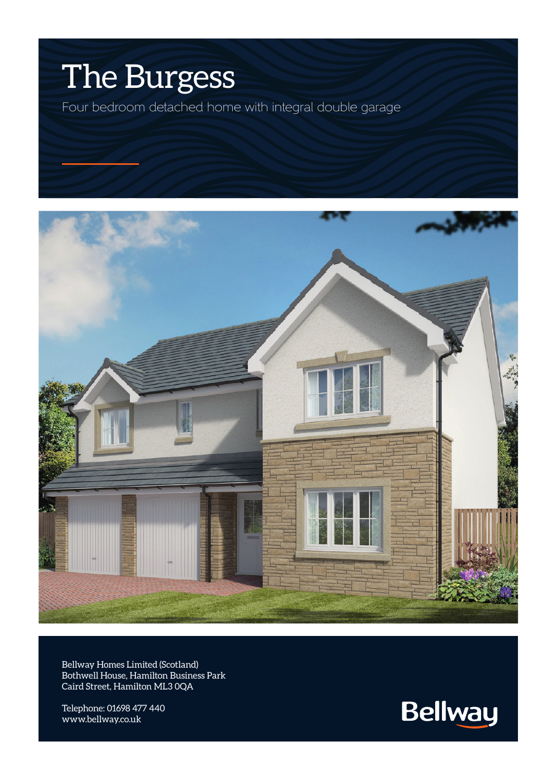## The Burgess

Four bedroom detached home with integral double garage



Bellway Homes Limited (Scotland) Bothwell House, Hamilton Business Park Caird Street, Hamilton ML3 0QA

Telephone: 01698 477 440 www.bellway.co.uk